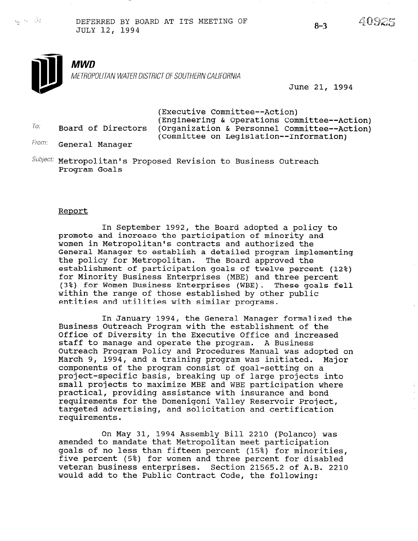To:

 $\sim$   $\sim$   $\sim$   $\sim$  DEFERRED BY BOARD AT ITS MEETING OF DEFERRED BI BOARD AT ITS MEETING OF 8-3





June 21, 1994

(Executive Committee--Action) (Engineering & Operations Committee--Action) Board of Directors (Organization & Personnel Committee--Action) (Committee on Legislation--Information)

From: General Manager

Subject: Metropolitan's Proposed Revision to Business Outreach Program Goals

#### Report

In September 1992, the Board adopted a policy to promote and increase the participation of minority and women in Metropolitan's contracts and authorized the General Manager to establish a detailed program implementing the policy for Metropolitan. The Board approved the establishment of participation goals of twelve percent (12%) for Minority Business Enterprises (MBE) and three percent (3%) for Women Business Enterprises (WBE). These goals fell within the range of those established by other public entities and utilities with similar programs.

In January 1994, the General Manager formalized the Business Outreach Program with the establishment of the Office of Diversity in the Executive Office and increased Office of Diversity in the Executive Office and increased<br>staff to manage and operate the program. A Business Outreach Program Policy and Procedures Manual was adopted on March 9, 1994, and a training program was initiated. Major components of the program consist of goal-setting on a components of the program consist of goal-secting on a project-specific pasis, breaking up of farge projects find<br>email projects to maximize MBE and WBE participation where practical, providing assistance with insurance and bondom practical, providing assistance with insurance and pond targeted advertising, and solicitation and certification rargeteu a

 $\overline{a}$   $\overline{a}$   $\overline{a}$   $\overline{a}$   $\overline{a}$   $\overline{a}$   $\overline{a}$   $\overline{a}$   $\overline{a}$   $\overline{a}$   $\overline{a}$   $\overline{a}$   $\overline{a}$   $\overline{a}$   $\overline{a}$   $\overline{a}$   $\overline{a}$   $\overline{a}$   $\overline{a}$   $\overline{a}$   $\overline{a}$   $\overline{a}$   $\overline{a}$   $\overline{a}$   $\overline{$ UN MAY 31, 1994 ASSEMDIY BILL 2210 (POIANC amended to mandate that Metropolitan meet participation goals of no less than fifteen percent (15%) for minorities, five percent (5%) for women and three percent for disabled veteran business enterprises. Section 21565.2 of A.B. 2210<br>would add to the Public Contract Code, the following: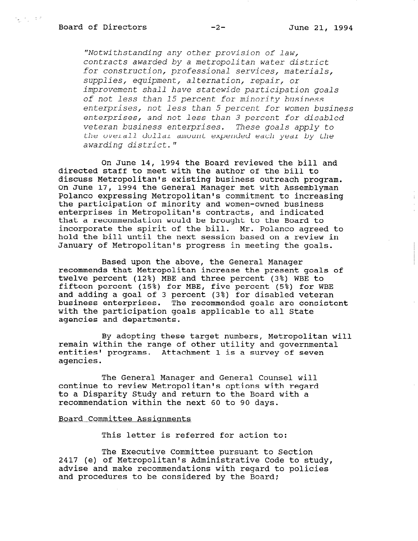信号 中型

"Notwithstanding any other provision of law, contracts awarded by a metropolitan water district for construction, professional services, materials, supplies, equipment, alternation, repair, or improvement shall have statewide participation goals of not less than 15 percent for minority business enterprises, not less than 5 percent for women business enterprises, and not less than 3 percent for disabled veteran business enterprises. These goals apply to the overall dollar amount expended each year by the awarding district."

On June 14, 1994 the Board reviewed the bill and directed staff to meet with the author of the bill to discuss Metropolitan's existing business outreach program. On June 17, 1994 the General Manager met with Assemblyman Polanco expressing Metropolitan's commitment to increasing the participation of minority and women-owned business enterprises in Metropolitan's contracts, and indicated that a recommendation would be brought to the Board to incorporate the spirit of the bill. Mr. Polanco agreed to hold the bill until the next session based on a review in January of Metropolitan's progress in meeting the goals.

Based upon the above, the General Manager recommends that Metropolitan increase the present goals of twelve percent (12%) MBE and three percent (3%) WBE to fifteen percent (15%) for MBE, five percent (5%) for WBE and adding a goal of 3 percent (3%) for disabled veteran business enterprises. The recommended goals are consistent with the participation goals applicable to all State agencies and departments.

By adopting these target numbers, Metropolitan will remain within the range of other utility and governmental entities' programs. Attachment 1 is a survey of seven agencies.

The General Manager and General Counsel will continue to review Metropolitan's options with regard to a Disparity Chudy and return to the Board with a recommendation within the next 60 to 90 days.

## Board Committee Assignments

This letter is referred for action to:

The Executive Committee pursuant to Section 2417 (e) of Metropolitan's Administrative Community Code to Section zart (e) or mecroporican's Administractive code to sti advise and make recommendations with regard to policies<br>and procedures to be considered by the Board;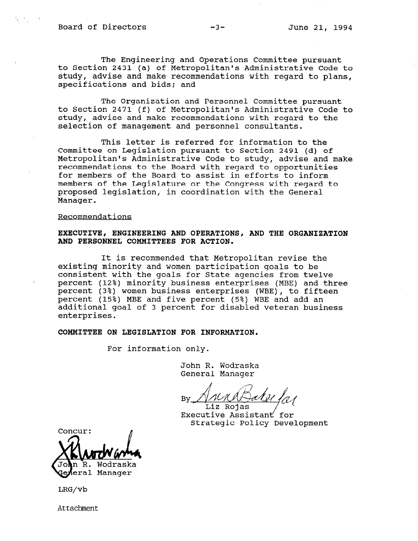$\mathcal{L} = \mathcal{L}_1 \mathcal{L}_2 \cup \mathcal{L}_3$ 

The Engineering and Operations Committee pursuant to Section 2431 (a) of Metropolitan's Administrative Code to study, advise and make recommendations with regard to plans, specifications and bids; and

The Organization and Personnel Committee pursuant to Section 2471 (f) of Metropolitan's Administrative Code to study, advise and make recommendations with regard to the selection of management and personnel consultants.

This letter is referred for information to the Committee on Legislation pursuant to Section 2491 (d) of Metropolitan's Administrative Code to study, advise and make recommendations to the Board with regard to opportunities for members of the Board to assist in efforts to inform members of the Legislature or the Congress with regard to proposed legislation, in coordination with the General Manager.

#### Recommendations

## EXECUTIVE, ENGINEERING AND OPERATIONS, AND THE ORGANIZATION AND PERSONNEL COMMITTEES FOR ACTION.

It is recommended that Metropolitan revise the existing minority and women participation goals to be consistent with the goals for State agencies from twelve percent (12%) minority business enterprises (MBE) and three percent (3%) women business enterprises (WBE), to fifteen percent (15%) MBE and five percent (5%) WBE and add an additional goal of 3 percent for disabled veteran business enterprises.

#### COMMITTEE ON LEGISLATION FOR INFORMATION.

For information only.

John R. Wodraska General Manager

 $\mathbb{R}$  - K at  $\mathbb{R}$ 

Liz Rojas<br>Executive Assistant for Strategic Policy Development

Concur: Wodraska eral Manager

LRG/vb

Attachment